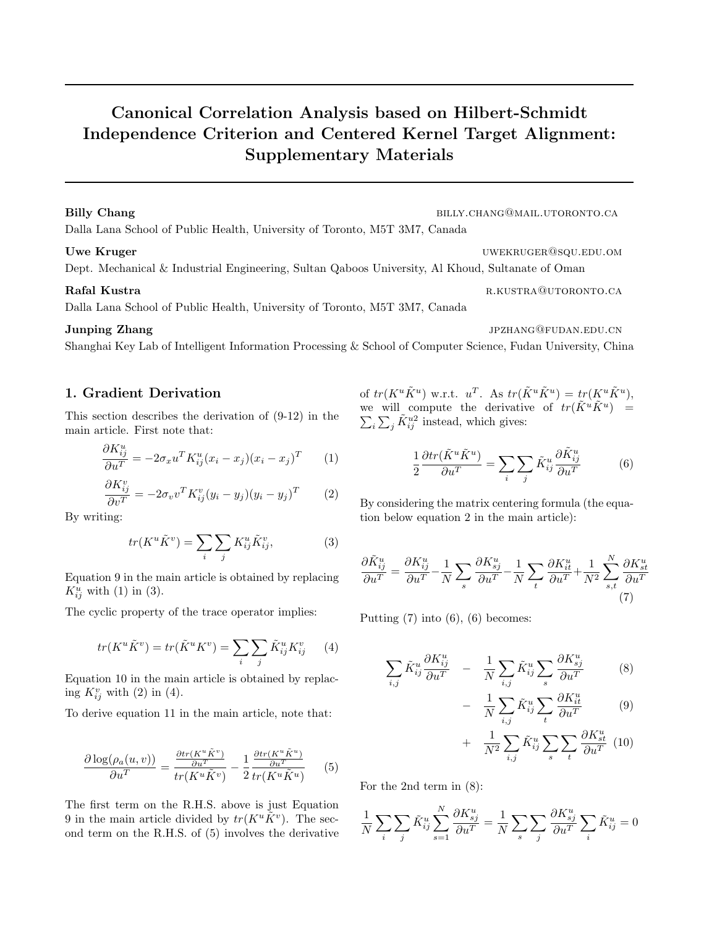# Canonical Correlation Analysis based on Hilbert-Schmidt Independence Criterion and Centered Kernel Target Alignment: Supplementary Materials

### Billy Chang billy.chang@mail.utoronto.ca

Dalla Lana School of Public Health, University of Toronto, M5T 3M7, Canada

Dept. Mechanical & Industrial Engineering, Sultan Qaboos University, Al Khoud, Sultanate of Oman

Dalla Lana School of Public Health, University of Toronto, M5T 3M7, Canada

### **Junping Zhang jpang zhang** jpang ang sampling *Junping Zhang*  $J$ PZHANG@FUDAN.EDU.CN

Shanghai Key Lab of Intelligent Information Processing & School of Computer Science, Fudan University, China

## 1. Gradient Derivation

This section describes the derivation of (9-12) in the main article. First note that:

$$
\frac{\partial K_{ij}^u}{\partial u^T} = -2\sigma_x u^T K_{ij}^u (x_i - x_j)(x_i - x_j)^T \qquad (1)
$$

$$
\frac{\partial K_{ij}^v}{\partial v^T} = -2\sigma_v v^T K_{ij}^v (y_i - y_j)(y_i - y_j)^T \qquad (2)
$$

By writing:

$$
tr(K^u \tilde{K}^v) = \sum_i \sum_j K_{ij}^u \tilde{K}_{ij}^v,
$$
 (3)

Equation 9 in the main article is obtained by replacing  $K_{ij}^u$  with (1) in (3).

The cyclic property of the trace operator implies:

$$
tr(K^u \tilde{K}^v) = tr(\tilde{K}^u K^v) = \sum_i \sum_j \tilde{K}_{ij}^u K_{ij}^v \qquad (4)
$$

Equation 10 in the main article is obtained by replacing  $K_{ij}^v$  with (2) in (4).

To derive equation 11 in the main article, note that:

$$
\frac{\partial \log(\rho_a(u,v))}{\partial u^T} = \frac{\frac{\partial tr(K^u \tilde{K}^v)}{\partial u^T}}{tr(K^u \tilde{K}^v)} - \frac{1}{2} \frac{\frac{\partial tr(K^u \tilde{K}^u)}{\partial u^T}}{tr(K^u \tilde{K}^u)} \qquad (5)
$$

The first term on the R.H.S. above is just Equation 9 in the main article divided by  $tr(K^u\tilde{K}^v)$ . The second term on the R.H.S. of (5) involves the derivative of  $tr(K^u \tilde{K}^u)$  w.r.t.  $u^T$ . As  $tr(\tilde{K}^u \tilde{K}^u) = tr(K^u \tilde{K}^u)$ , we will compute the derivative of  $tr(\tilde{K}^u \tilde{K}^u) =$  $\sum_i \sum_j \tilde{K}_{ij}^{u2}$  instead, which gives:

$$
\frac{1}{2}\frac{\partial tr(\tilde{K}^u \tilde{K}^u)}{\partial u^T} = \sum_i \sum_j \tilde{K}_{ij}^u \frac{\partial \tilde{K}_{ij}^u}{\partial u^T}
$$
(6)

By considering the matrix centering formula (the equation below equation 2 in the main article):

$$
\frac{\partial \tilde{K}_{ij}^u}{\partial u^T} = \frac{\partial K_{ij}^u}{\partial u^T} - \frac{1}{N} \sum_s \frac{\partial K_{sj}^u}{\partial u^T} - \frac{1}{N} \sum_t \frac{\partial K_{it}^u}{\partial u^T} + \frac{1}{N^2} \sum_{s,t}^N \frac{\partial K_{st}^u}{\partial u^T}
$$
\n(7)

Putting  $(7)$  into  $(6)$ ,  $(6)$  becomes:

$$
\sum_{i,j} \tilde{K}_{ij}^u \frac{\partial K_{ij}^u}{\partial u^T} - \frac{1}{N} \sum_{i,j} \tilde{K}_{ij}^u \sum_s \frac{\partial K_{sj}^u}{\partial u^T}
$$
 (8)

$$
- \frac{1}{N} \sum_{i,j} \tilde{K}_{ij}^u \sum_t \frac{\partial K_{it}^u}{\partial u^T}
$$
 (9)

$$
+ \quad \frac{1}{N^2} \sum_{i,j} \tilde{K}_{ij}^u \sum_s \sum_t \frac{\partial K_{st}^u}{\partial u^T} \tag{10}
$$

For the 2nd term in (8):

$$
\frac{1}{N} \sum_{i} \sum_{j} \tilde{K}_{ij}^{u} \sum_{s=1}^{N} \frac{\partial K_{sj}^{u}}{\partial u^{T}} = \frac{1}{N} \sum_{s} \sum_{j} \frac{\partial K_{sj}^{u}}{\partial u^{T}} \sum_{i} \tilde{K}_{ij}^{u} = 0
$$

Uwe Kruger under the contract of the contract of the under the under the under the under the under the under the under the under the under the under the under the under the under the under the under the under the under the

Rafal Kustra r.kustra r.kustra r.kustra r.kustra r.kustra r.kustra r.kustra r.kustra r.kustra r.kustra r.kustra r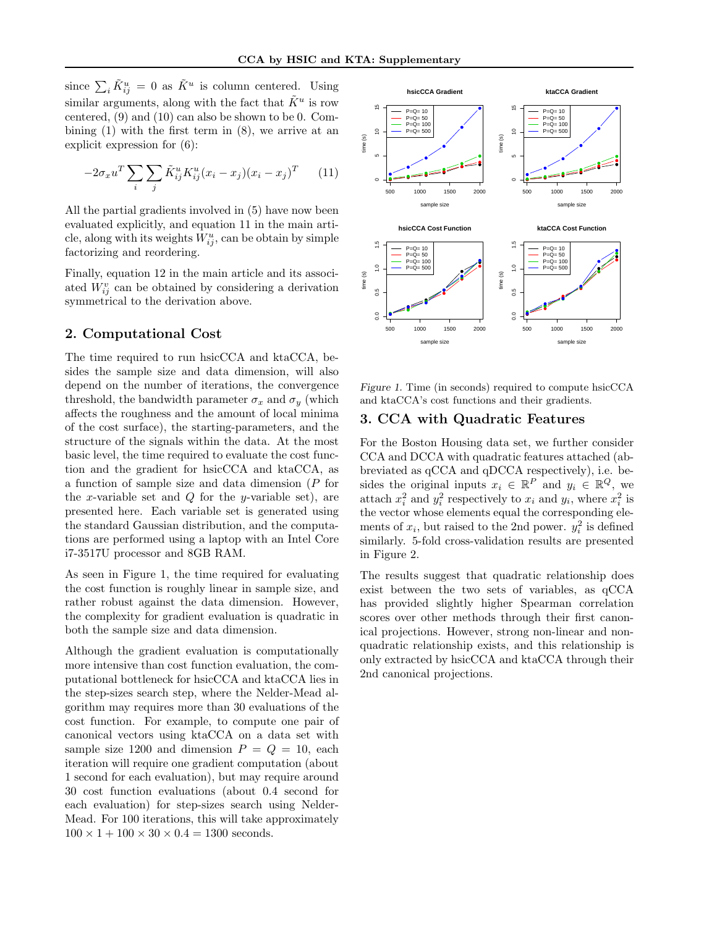since  $\sum_i \tilde{K}_{ij}^u = 0$  as  $\tilde{K}^u$  is column centered. Using similar arguments, along with the fact that  $\tilde{K}^u$  is row centered, (9) and (10) can also be shown to be 0. Combining  $(1)$  with the first term in  $(8)$ , we arrive at an explicit expression for (6):

$$
-2\sigma_x u^T \sum_i \sum_j \tilde{K}_{ij}^u K_{ij}^u (x_i - x_j)(x_i - x_j)^T \qquad (11)
$$

All the partial gradients involved in (5) have now been evaluated explicitly, and equation 11 in the main article, along with its weights  $W_{ij}^u$ , can be obtain by simple factorizing and reordering.

Finally, equation 12 in the main article and its associated  $W_{ij}^v$  can be obtained by considering a derivation symmetrical to the derivation above.

# 2. Computational Cost

The time required to run hsicCCA and ktaCCA, besides the sample size and data dimension, will also depend on the number of iterations, the convergence threshold, the bandwidth parameter  $\sigma_x$  and  $\sigma_y$  (which affects the roughness and the amount of local minima of the cost surface), the starting-parameters, and the structure of the signals within the data. At the most basic level, the time required to evaluate the cost function and the gradient for hsicCCA and ktaCCA, as a function of sample size and data dimension (P for the x-variable set and  $Q$  for the y-variable set), are presented here. Each variable set is generated using the standard Gaussian distribution, and the computations are performed using a laptop with an Intel Core i7-3517U processor and 8GB RAM.

As seen in Figure 1, the time required for evaluating the cost function is roughly linear in sample size, and rather robust against the data dimension. However, the complexity for gradient evaluation is quadratic in both the sample size and data dimension.

Although the gradient evaluation is computationally more intensive than cost function evaluation, the computational bottleneck for hsicCCA and ktaCCA lies in the step-sizes search step, where the Nelder-Mead algorithm may requires more than 30 evaluations of the cost function. For example, to compute one pair of canonical vectors using ktaCCA on a data set with sample size 1200 and dimension  $P = Q = 10$ , each iteration will require one gradient computation (about 1 second for each evaluation), but may require around 30 cost function evaluations (about 0.4 second for each evaluation) for step-sizes search using Nelder-Mead. For 100 iterations, this will take approximately  $100 \times 1 + 100 \times 30 \times 0.4 = 1300$  seconds.



Figure 1. Time (in seconds) required to compute hsicCCA and ktaCCA's cost functions and their gradients.

### 3. CCA with Quadratic Features

For the Boston Housing data set, we further consider CCA and DCCA with quadratic features attached (abbreviated as qCCA and qDCCA respectively), i.e. besides the original inputs  $x_i \in \mathbb{R}^P$  and  $y_i \in \mathbb{R}^Q$ , we attach  $x_i^2$  and  $y_i^2$  respectively to  $x_i$  and  $y_i$ , where  $x_i^2$  is the vector whose elements equal the corresponding elements of  $x_i$ , but raised to the 2nd power.  $y_i^2$  is defined similarly. 5-fold cross-validation results are presented in Figure 2.

The results suggest that quadratic relationship does exist between the two sets of variables, as qCCA has provided slightly higher Spearman correlation scores over other methods through their first canonical projections. However, strong non-linear and nonquadratic relationship exists, and this relationship is only extracted by hsicCCA and ktaCCA through their 2nd canonical projections.